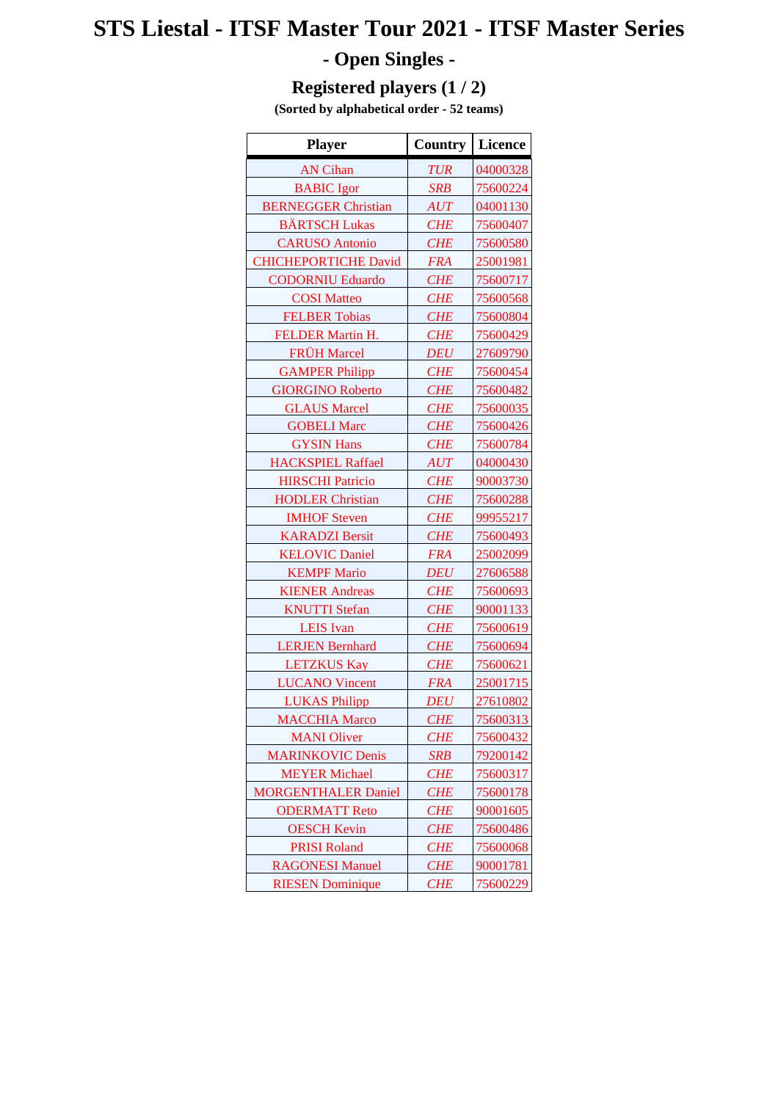## **STS Liestal - ITSF Master Tour 2021 - ITSF Master Series - Open Singles -**

## **Registered players (1 / 2)**

**(Sorted by alphabetical order - 52 teams)**

| <b>Player</b>               | Country    | <b>Licence</b> |
|-----------------------------|------------|----------------|
| <b>AN Cihan</b>             | <b>TUR</b> | 04000328       |
| <b>BABIC</b> Igor           | <b>SRB</b> | 75600224       |
| <b>BERNEGGER Christian</b>  | <b>AUT</b> | 04001130       |
| <b>BÄRTSCH Lukas</b>        | <b>CHE</b> | 75600407       |
| <b>CARUSO Antonio</b>       | <b>CHE</b> | 75600580       |
| <b>CHICHEPORTICHE David</b> | <b>FRA</b> | 25001981       |
| <b>CODORNIU Eduardo</b>     | <b>CHE</b> | 75600717       |
| <b>COSI</b> Matteo          | <b>CHE</b> | 75600568       |
| <b>FELBER Tobias</b>        | <b>CHE</b> | 75600804       |
| FELDER Martin H.            | <b>CHE</b> | 75600429       |
| <b>FRÜH Marcel</b>          | <b>DEU</b> | 27609790       |
| <b>GAMPER Philipp</b>       | <b>CHE</b> | 75600454       |
| <b>GIORGINO Roberto</b>     | <b>CHE</b> | 75600482       |
| <b>GLAUS Marcel</b>         | <b>CHE</b> | 75600035       |
| <b>GOBELI Marc</b>          | <b>CHE</b> | 75600426       |
| <b>GYSIN Hans</b>           | <b>CHE</b> | 75600784       |
| <b>HACKSPIEL Raffael</b>    | <b>AUT</b> | 04000430       |
| <b>HIRSCHI Patricio</b>     | <b>CHE</b> | 90003730       |
| <b>HODLER Christian</b>     | <b>CHE</b> | 75600288       |
| <b>IMHOF Steven</b>         | <b>CHE</b> | 99955217       |
| <b>KARADZI Bersit</b>       | <b>CHE</b> | 75600493       |
| <b>KELOVIC Daniel</b>       | <b>FRA</b> | 25002099       |
| <b>KEMPF Mario</b>          | <b>DEU</b> | 27606588       |
| <b>KIENER Andreas</b>       | <b>CHE</b> | 75600693       |
| <b>KNUTTI</b> Stefan        | <b>CHE</b> | 90001133       |
| <b>LEIS</b> Ivan            | <b>CHE</b> | 75600619       |
| <b>LERJEN Bernhard</b>      | <b>CHE</b> | 75600694       |
| <b>LETZKUS Kay</b>          | <b>CHE</b> | 75600621       |
| <b>LUCANO Vincent</b>       | <b>FRA</b> | 25001715       |
| <b>LUKAS Philipp</b>        | <b>DEU</b> | 27610802       |
| <b>MACCHIA Marco</b>        | <b>CHE</b> | 75600313       |
| <b>MANI</b> Oliver          | <b>CHE</b> | 75600432       |
| <b>MARINKOVIC Denis</b>     | <b>SRB</b> | 79200142       |
| <b>MEYER Michael</b>        | <b>CHE</b> | 75600317       |
| <b>MORGENTHALER Daniel</b>  | <b>CHE</b> | 75600178       |
| <b>ODERMATT Reto</b>        | <b>CHE</b> | 90001605       |
| <b>OESCH Kevin</b>          | <b>CHE</b> | 75600486       |
| <b>PRISI Roland</b>         | <b>CHE</b> | 75600068       |
| <b>RAGONESI Manuel</b>      | <b>CHE</b> | 90001781       |
| <b>RIESEN Dominique</b>     | <b>CHE</b> | 75600229       |